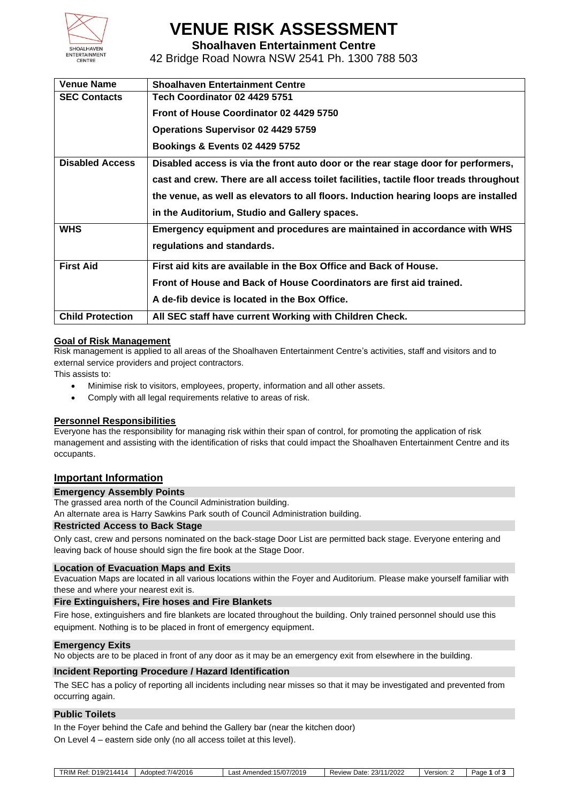

# **VENUE RISK ASSESSMENT**

**Shoalhaven Entertainment Centre**

42 Bridge Road Nowra NSW 2541 Ph. 1300 788 503

| <b>Venue Name</b>       | <b>Shoalhaven Entertainment Centre</b>                                                 |  |  |  |
|-------------------------|----------------------------------------------------------------------------------------|--|--|--|
| <b>SEC Contacts</b>     | Tech Coordinator 02 4429 5751                                                          |  |  |  |
|                         | Front of House Coordinator 02 4429 5750                                                |  |  |  |
|                         | <b>Operations Supervisor 02 4429 5759</b>                                              |  |  |  |
|                         | <b>Bookings &amp; Events 02 4429 5752</b>                                              |  |  |  |
| <b>Disabled Access</b>  | Disabled access is via the front auto door or the rear stage door for performers,      |  |  |  |
|                         | cast and crew. There are all access toilet facilities, tactile floor treads throughout |  |  |  |
|                         | the venue, as well as elevators to all floors. Induction hearing loops are installed   |  |  |  |
|                         | in the Auditorium, Studio and Gallery spaces.                                          |  |  |  |
| <b>WHS</b>              | Emergency equipment and procedures are maintained in accordance with WHS               |  |  |  |
|                         | regulations and standards.                                                             |  |  |  |
| <b>First Aid</b>        | First aid kits are available in the Box Office and Back of House.                      |  |  |  |
|                         | Front of House and Back of House Coordinators are first aid trained.                   |  |  |  |
|                         | A de-fib device is located in the Box Office.                                          |  |  |  |
| <b>Child Protection</b> | All SEC staff have current Working with Children Check.                                |  |  |  |
|                         |                                                                                        |  |  |  |

### **Goal of Risk Management**

Risk management is applied to all areas of the Shoalhaven Entertainment Centre's activities, staff and visitors and to external service providers and project contractors.

This assists to:

- Minimise risk to visitors, employees, property, information and all other assets.
- Comply with all legal requirements relative to areas of risk.

#### **Personnel Responsibilities**

Everyone has the responsibility for managing risk within their span of control, for promoting the application of risk management and assisting with the identification of risks that could impact the Shoalhaven Entertainment Centre and its occupants.

### **Important Information**

#### **Emergency Assembly Points**

The grassed area north of the Council Administration building.

An alternate area is Harry Sawkins Park south of Council Administration building.

### **Restricted Access to Back Stage**

Only cast, crew and persons nominated on the back-stage Door List are permitted back stage. Everyone entering and leaving back of house should sign the fire book at the Stage Door.

#### **Location of Evacuation Maps and Exits**

Evacuation Maps are located in all various locations within the Foyer and Auditorium. Please make yourself familiar with these and where your nearest exit is.

#### **Fire Extinguishers, Fire hoses and Fire Blankets**

Fire hose, extinguishers and fire blankets are located throughout the building. Only trained personnel should use this equipment. Nothing is to be placed in front of emergency equipment.

#### **Emergency Exits**

No objects are to be placed in front of any door as it may be an emergency exit from elsewhere in the building.

#### **Incident Reporting Procedure / Hazard Identification**

The SEC has a policy of reporting all incidents including near misses so that it may be investigated and prevented from occurring again.

#### **Public Toilets**

In the Foyer behind the Cafe and behind the Gallery bar (near the kitchen door)

On Level 4 – eastern side only (no all access toilet at this level).

| TRIM.<br>14414<br>$\cdots$<br>$D_{\mathbf{A}}$<br>וסו<br>. <i>ונ</i> | 14/201F<br>Adoptad:<br>AUUUR.<br>$-0.11$<br>$\sim$ | $-10-$<br>72019<br>$\sim$<br>--<br>AMANNAN'<br>$\sim$<br>.aəı<br>.נוסטווסו<br>1.111 | 1/2022<br>23/1<br>Jate<br>Review<br>w | Version | Page<br>$\sim$<br>. . |
|----------------------------------------------------------------------|----------------------------------------------------|-------------------------------------------------------------------------------------|---------------------------------------|---------|-----------------------|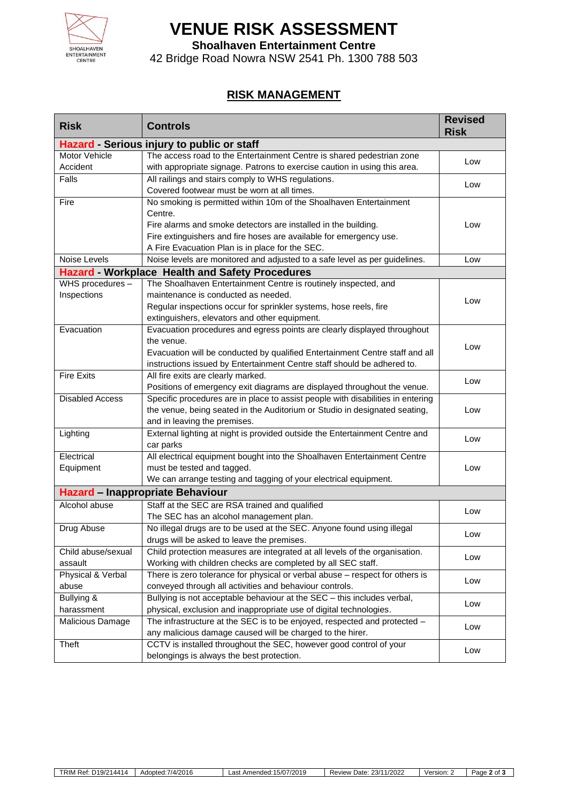

# **VENUE RISK ASSESSMENT**

**Shoalhaven Entertainment Centre**

42 Bridge Road Nowra NSW 2541 Ph. 1300 788 503

## **RISK MANAGEMENT**

| <b>Risk</b>                                | <b>Controls</b>                                                                 | <b>Revised</b><br><b>Risk</b> |  |  |  |  |
|--------------------------------------------|---------------------------------------------------------------------------------|-------------------------------|--|--|--|--|
| Hazard - Serious injury to public or staff |                                                                                 |                               |  |  |  |  |
| Motor Vehicle                              | The access road to the Entertainment Centre is shared pedestrian zone           |                               |  |  |  |  |
| Accident                                   | with appropriate signage. Patrons to exercise caution in using this area.       | Low                           |  |  |  |  |
| Falls                                      | All railings and stairs comply to WHS regulations.                              | Low                           |  |  |  |  |
|                                            | Covered footwear must be worn at all times.                                     |                               |  |  |  |  |
| Fire                                       | No smoking is permitted within 10m of the Shoalhaven Entertainment              |                               |  |  |  |  |
|                                            | Centre.                                                                         |                               |  |  |  |  |
|                                            | Fire alarms and smoke detectors are installed in the building.                  | Low                           |  |  |  |  |
|                                            | Fire extinguishers and fire hoses are available for emergency use.              |                               |  |  |  |  |
|                                            | A Fire Evacuation Plan is in place for the SEC.                                 |                               |  |  |  |  |
| Noise Levels                               | Noise levels are monitored and adjusted to a safe level as per guidelines.      | Low                           |  |  |  |  |
|                                            | <b>Hazard - Workplace Health and Safety Procedures</b>                          |                               |  |  |  |  |
| WHS procedures -                           | The Shoalhaven Entertainment Centre is routinely inspected, and                 |                               |  |  |  |  |
| Inspections                                | maintenance is conducted as needed.                                             | Low                           |  |  |  |  |
|                                            | Regular inspections occur for sprinkler systems, hose reels, fire               |                               |  |  |  |  |
|                                            | extinguishers, elevators and other equipment.                                   |                               |  |  |  |  |
| Evacuation                                 | Evacuation procedures and egress points are clearly displayed throughout        |                               |  |  |  |  |
|                                            | the venue.                                                                      | Low                           |  |  |  |  |
|                                            | Evacuation will be conducted by qualified Entertainment Centre staff and all    |                               |  |  |  |  |
|                                            | instructions issued by Entertainment Centre staff should be adhered to.         |                               |  |  |  |  |
| <b>Fire Exits</b>                          | All fire exits are clearly marked.                                              | Low                           |  |  |  |  |
|                                            | Positions of emergency exit diagrams are displayed throughout the venue.        |                               |  |  |  |  |
| <b>Disabled Access</b>                     | Specific procedures are in place to assist people with disabilities in entering |                               |  |  |  |  |
|                                            | the venue, being seated in the Auditorium or Studio in designated seating,      | Low                           |  |  |  |  |
|                                            | and in leaving the premises.                                                    |                               |  |  |  |  |
| Lighting                                   | External lighting at night is provided outside the Entertainment Centre and     | Low                           |  |  |  |  |
|                                            | car parks                                                                       |                               |  |  |  |  |
| Electrical                                 | All electrical equipment bought into the Shoalhaven Entertainment Centre        |                               |  |  |  |  |
| Equipment                                  | must be tested and tagged.                                                      | Low                           |  |  |  |  |
|                                            | We can arrange testing and tagging of your electrical equipment.                |                               |  |  |  |  |
| Hazard - Inappropriate Behaviour           |                                                                                 |                               |  |  |  |  |
| Alcohol abuse                              | Staff at the SEC are RSA trained and qualified                                  |                               |  |  |  |  |
|                                            | The SEC has an alcohol management plan.                                         | Low                           |  |  |  |  |
| Drug Abuse                                 | No illegal drugs are to be used at the SEC. Anyone found using illegal          |                               |  |  |  |  |
|                                            | drugs will be asked to leave the premises.                                      | Low                           |  |  |  |  |
| Child abuse/sexual                         | Child protection measures are integrated at all levels of the organisation.     |                               |  |  |  |  |
| assault                                    | Working with children checks are completed by all SEC staff.                    | Low                           |  |  |  |  |
| Physical & Verbal                          | There is zero tolerance for physical or verbal abuse - respect for others is    |                               |  |  |  |  |
| abuse                                      | conveyed through all activities and behaviour controls.                         | Low                           |  |  |  |  |
| Bullying &                                 | Bullying is not acceptable behaviour at the SEC - this includes verbal,         |                               |  |  |  |  |
| harassment                                 | physical, exclusion and inappropriate use of digital technologies.              | Low                           |  |  |  |  |
| Malicious Damage                           | The infrastructure at the SEC is to be enjoyed, respected and protected -       | Low                           |  |  |  |  |
|                                            | any malicious damage caused will be charged to the hirer.                       |                               |  |  |  |  |
| Theft                                      | CCTV is installed throughout the SEC, however good control of your              |                               |  |  |  |  |
|                                            | belongings is always the best protection.                                       | Low                           |  |  |  |  |